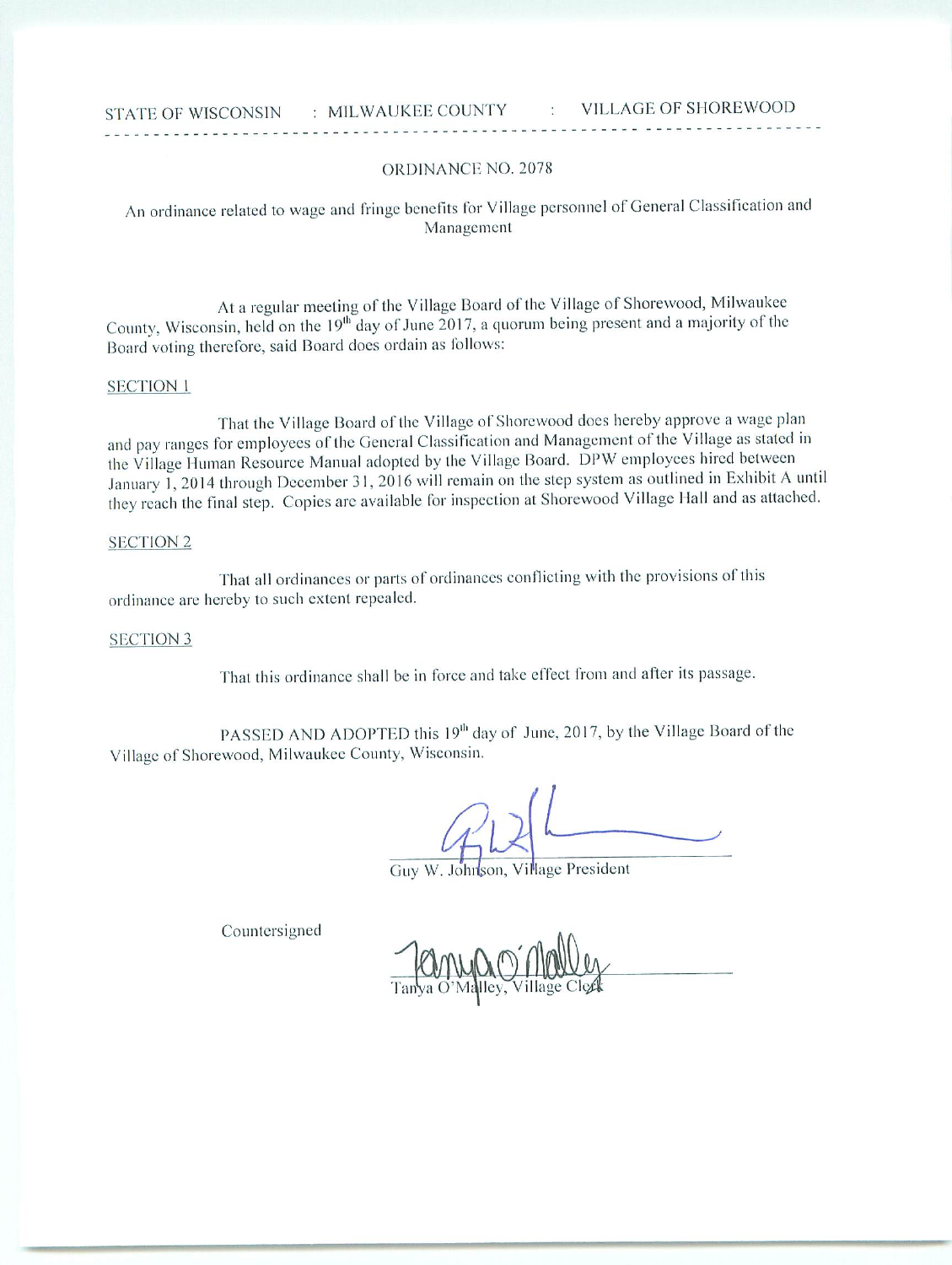### ORDINANCE NO. 2078

An ordinance related to wage and fringe benefits for Village personnel of General Classification and Management

At a regular meeting of the Village Board of the Village of Shorewood, Milwaukee County, Wisconsin, held on the 19<sup>th</sup> day of June 2017, a quorum being present and a majority of the Board voting therefore, said Board does ordain as follows:

### SECTION 1

That the Village Board of the Village of Shorewood does hereby approve a wage plan and pay ranges for employees of the General Classification and Management of the Village as stated in the Village Human Resource Manual adopted by the Village Board. DPW employees hired between January 1, 2014 through December 31, 2016 will remain on the step system as outlined in Exhibit A until they reach the final step. Copies arc available for inspection at Shorewood Village Hall and as attached.

#### **SECTION 2**

That all ordinances or parts of ordinances conflicting with the provisions of this ordinance are hereby to such extent repealed.

## **SECTION 3**

That this ordinance shall be in force and take effect from and after its passage.

PASSED AND ADOPTED this 19<sup>th</sup> day of June, 2017, by the Village Board of the Village of Shorewood, Milwaukee County, Wisconsin.

Guy W. Johnson, Village President

Countersigned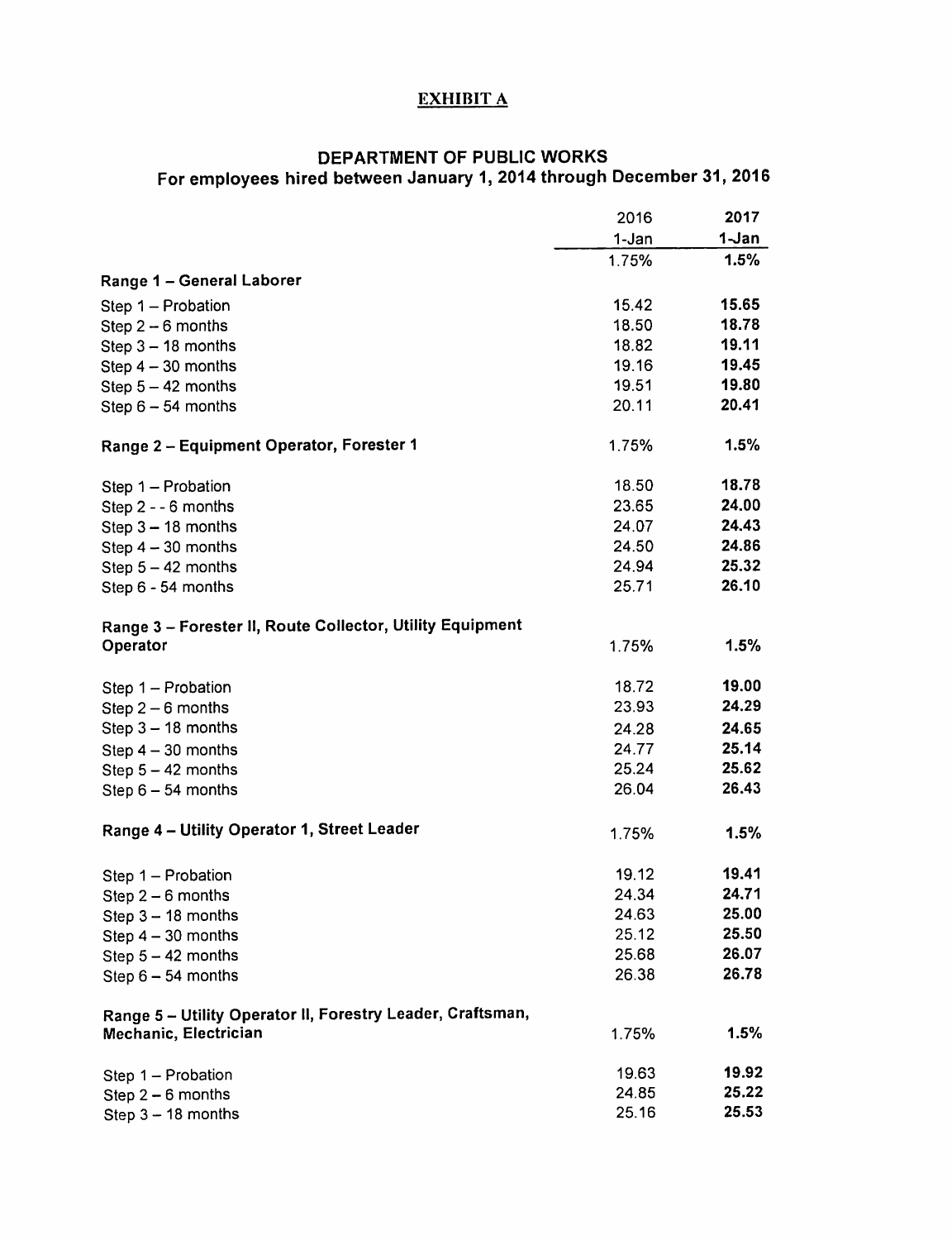# EXHIBIT A

# DEPARTMENT OF PUBLIC WORKS For employees hired between January 1, 2014 through December 31, 2016

|                                                            | 2016  | 2017  |
|------------------------------------------------------------|-------|-------|
|                                                            | 1-Jan | 1-Jan |
|                                                            | 1.75% | 1.5%  |
| Range 1 - General Laborer                                  |       |       |
| Step 1 - Probation                                         | 15.42 | 15.65 |
| Step $2-6$ months                                          | 18.50 | 18.78 |
| Step $3 - 18$ months                                       | 18.82 | 19.11 |
| Step $4 - 30$ months                                       | 19.16 | 19.45 |
| Step $5 - 42$ months                                       | 19.51 | 19.80 |
| Step $6 - 54$ months                                       | 20.11 | 20.41 |
| Range 2 - Equipment Operator, Forester 1                   | 1.75% | 1.5%  |
| Step 1 - Probation                                         | 18.50 | 18.78 |
| Step 2 - - 6 months                                        | 23.65 | 24.00 |
| Step $3 - 18$ months                                       | 24.07 | 24.43 |
| Step $4-30$ months                                         | 24.50 | 24.86 |
| Step $5 - 42$ months                                       | 24.94 | 25.32 |
| Step 6 - 54 months                                         | 25.71 | 26.10 |
| Range 3 - Forester II, Route Collector, Utility Equipment  |       |       |
| Operator                                                   | 1.75% | 1.5%  |
| Step $1 -$ Probation                                       | 18.72 | 19.00 |
| Step $2-6$ months                                          | 23.93 | 24.29 |
| Step $3 - 18$ months                                       | 24.28 | 24.65 |
| Step $4-30$ months                                         | 24.77 | 25.14 |
| Step $5 - 42$ months                                       | 25.24 | 25.62 |
| Step $6 - 54$ months                                       | 26.04 | 26.43 |
| Range 4 - Utility Operator 1, Street Leader                | 1.75% | 1.5%  |
| Step 1 - Probation                                         | 19.12 | 19.41 |
| Step $2-6$ months                                          | 24.34 | 24.71 |
| Step $3 - 18$ months                                       | 24.63 | 25.00 |
| Step $4-30$ months                                         | 25.12 | 25.50 |
| Step $5 - 42$ months                                       | 25.68 | 26.07 |
| Step $6 - 54$ months                                       | 26.38 | 26.78 |
| Range 5 - Utility Operator II, Forestry Leader, Craftsman, |       |       |
| Mechanic, Electrician                                      | 1.75% | 1.5%  |
| Step 1 - Probation                                         | 19.63 | 19.92 |
| Step $2-6$ months                                          | 24.85 | 25.22 |
| Step $3 - 18$ months                                       | 25.16 | 25.53 |